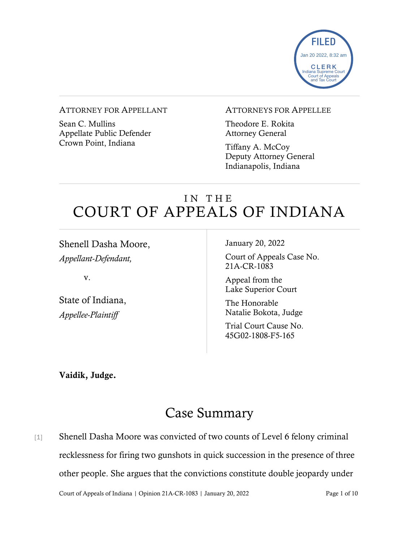

#### ATTORNEY FOR APPELLANT

Sean C. Mullins Appellate Public Defender Crown Point, Indiana

#### ATTORNEYS FOR APPELLEE

Theodore E. Rokita Attorney General

Tiffany A. McCoy Deputy Attorney General Indianapolis, Indiana

# IN THE COURT OF APPEALS OF INDIANA

Shenell Dasha Moore, *Appellant-Defendant,*

v.

State of Indiana, *Appellee-Plaintiff*

January 20, 2022

Court of Appeals Case No. 21A-CR-1083

Appeal from the Lake Superior Court

The Honorable Natalie Bokota, Judge

Trial Court Cause No. 45G02-1808-F5-165

Vaidik, Judge.

# Case Summary

[1] Shenell Dasha Moore was convicted of two counts of Level 6 felony criminal recklessness for firing two gunshots in quick succession in the presence of three other people. She argues that the convictions constitute double jeopardy under

Court of Appeals of Indiana | Opinion 21A-CR-1083 | January 20, 2022 Page 1 of 10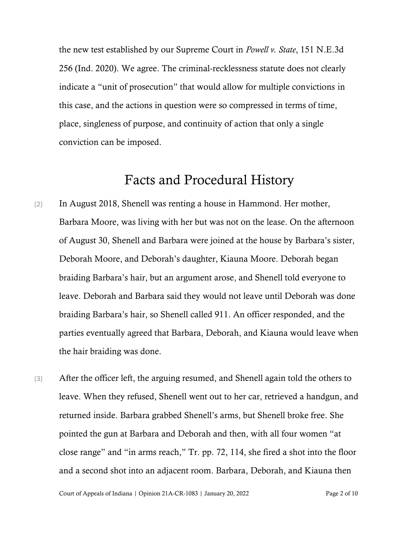the new test established by our Supreme Court in *Powell v. State*, 151 N.E.3d 256 (Ind. 2020). We agree. The criminal-recklessness statute does not clearly indicate a "unit of prosecution" that would allow for multiple convictions in this case, and the actions in question were so compressed in terms of time, place, singleness of purpose, and continuity of action that only a single conviction can be imposed.

### Facts and Procedural History

- [2] In August 2018, Shenell was renting a house in Hammond. Her mother, Barbara Moore, was living with her but was not on the lease. On the afternoon of August 30, Shenell and Barbara were joined at the house by Barbara's sister, Deborah Moore, and Deborah's daughter, Kiauna Moore. Deborah began braiding Barbara's hair, but an argument arose, and Shenell told everyone to leave. Deborah and Barbara said they would not leave until Deborah was done braiding Barbara's hair, so Shenell called 911. An officer responded, and the parties eventually agreed that Barbara, Deborah, and Kiauna would leave when the hair braiding was done.
- [3] After the officer left, the arguing resumed, and Shenell again told the others to leave. When they refused, Shenell went out to her car, retrieved a handgun, and returned inside. Barbara grabbed Shenell's arms, but Shenell broke free. She pointed the gun at Barbara and Deborah and then, with all four women "at close range" and "in arms reach," Tr. pp. 72, 114, she fired a shot into the floor and a second shot into an adjacent room. Barbara, Deborah, and Kiauna then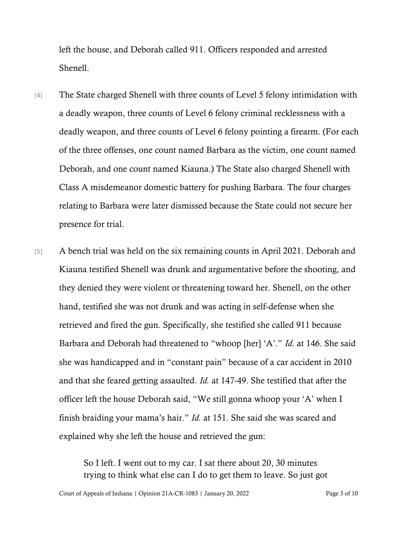left the house, and Deborah called 911. Officers responded and arrested Shenell.

- [4] The State charged Shenell with three counts of Level 5 felony intimidation with a deadly weapon, three counts of Level 6 felony criminal recklessness with a deadly weapon, and three counts of Level 6 felony pointing a firearm. (For each of the three offenses, one count named Barbara as the victim, one count named Deborah, and one count named Kiauna.) The State also charged Shenell with Class A misdemeanor domestic battery for pushing Barbara. The four charges relating to Barbara were later dismissed because the State could not secure her presence for trial.
- [5] A bench trial was held on the six remaining counts in April 2021. Deborah and Kiauna testified Shenell was drunk and argumentative before the shooting, and they denied they were violent or threatening toward her. Shenell, on the other hand, testified she was not drunk and was acting in self-defense when she retrieved and fired the gun. Specifically, she testified she called 911 because Barbara and Deborah had threatened to "whoop [her] 'A'." *Id.* at 146. She said she was handicapped and in "constant pain" because of a car accident in 2010 and that she feared getting assaulted. *Id.* at 147-49. She testified that after the officer left the house Deborah said, "We still gonna whoop your 'A' when I finish braiding your mama's hair." *Id.* at 151. She said she was scared and explained why she left the house and retrieved the gun:

So I left. I went out to my car. I sat there about 20, 30 minutes trying to think what else can I do to get them to leave. So just got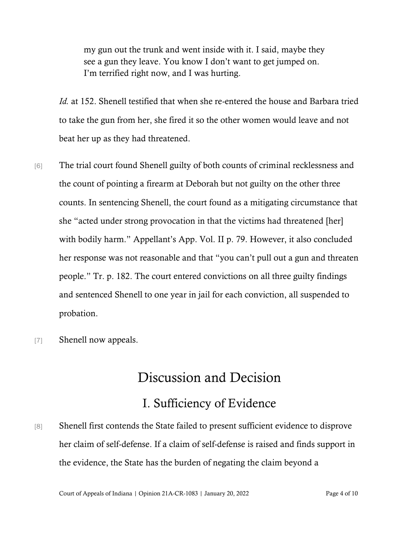my gun out the trunk and went inside with it. I said, maybe they see a gun they leave. You know I don't want to get jumped on. I'm terrified right now, and I was hurting.

*Id.* at 152. Shenell testified that when she re-entered the house and Barbara tried to take the gun from her, she fired it so the other women would leave and not beat her up as they had threatened.

- [6] The trial court found Shenell guilty of both counts of criminal recklessness and the count of pointing a firearm at Deborah but not guilty on the other three counts. In sentencing Shenell, the court found as a mitigating circumstance that she "acted under strong provocation in that the victims had threatened [her] with bodily harm." Appellant's App. Vol. II p. 79. However, it also concluded her response was not reasonable and that "you can't pull out a gun and threaten people." Tr. p. 182. The court entered convictions on all three guilty findings and sentenced Shenell to one year in jail for each conviction, all suspended to probation.
- [7] Shenell now appeals.

# Discussion and Decision

## I. Sufficiency of Evidence

[8] Shenell first contends the State failed to present sufficient evidence to disprove her claim of self-defense. If a claim of self-defense is raised and finds support in the evidence, the State has the burden of negating the claim beyond a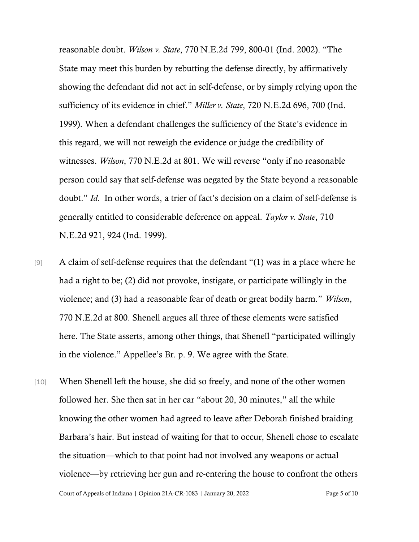reasonable doubt. *Wilson v. State*, 770 N.E.2d 799, 800-01 (Ind. 2002). "The State may meet this burden by rebutting the defense directly, by affirmatively showing the defendant did not act in self-defense, or by simply relying upon the sufficiency of its evidence in chief." *Miller v. State*, 720 N.E.2d 696, 700 (Ind. 1999). When a defendant challenges the sufficiency of the State's evidence in this regard, we will not reweigh the evidence or judge the credibility of witnesses. *Wilson*, 770 N.E.2d at 801. We will reverse "only if no reasonable person could say that self-defense was negated by the State beyond a reasonable doubt." *Id.* In other words, a trier of fact's decision on a claim of self-defense is generally entitled to considerable deference on appeal. *Taylor v. State*, 710 N.E.2d 921, 924 (Ind. 1999).

- [9] A claim of self-defense requires that the defendant "(1) was in a place where he had a right to be; (2) did not provoke, instigate, or participate willingly in the violence; and (3) had a reasonable fear of death or great bodily harm." *Wilson*, 770 N.E.2d at 800. Shenell argues all three of these elements were satisfied here. The State asserts, among other things, that Shenell "participated willingly in the violence." Appellee's Br. p. 9. We agree with the State.
- Court of Appeals of Indiana | Opinion 21A-CR-1083 | January 20, 2022 Page 5 of 10 [10] When Shenell left the house, she did so freely, and none of the other women followed her. She then sat in her car "about 20, 30 minutes," all the while knowing the other women had agreed to leave after Deborah finished braiding Barbara's hair. But instead of waiting for that to occur, Shenell chose to escalate the situation—which to that point had not involved any weapons or actual violence—by retrieving her gun and re-entering the house to confront the others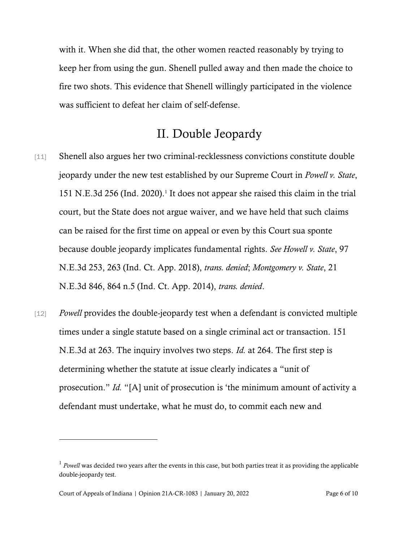with it. When she did that, the other women reacted reasonably by trying to keep her from using the gun. Shenell pulled away and then made the choice to fire two shots. This evidence that Shenell willingly participated in the violence was sufficient to defeat her claim of self-defense.

### II. Double Jeopardy

- [11] Shenell also argues her two criminal-recklessness convictions constitute double jeopardy under the new test established by our Supreme Court in *Powell v. State*, 151 N.E.3d 256 (Ind. 2020).<sup>1</sup> It does not appear she raised this claim in the trial court, but the State does not argue waiver, and we have held that such claims can be raised for the first time on appeal or even by this Court sua sponte because double jeopardy implicates fundamental rights. *See Howell v. State*, 97 N.E.3d 253, 263 (Ind. Ct. App. 2018), *trans. denied*; *Montgomery v. State*, 21 N.E.3d 846, 864 n.5 (Ind. Ct. App. 2014), *trans. denied*.
- [12] *Powell* provides the double-jeopardy test when a defendant is convicted multiple times under a single statute based on a single criminal act or transaction. 151 N.E.3d at 263. The inquiry involves two steps. *Id.* at 264. The first step is determining whether the statute at issue clearly indicates a "unit of prosecution." *Id.* "[A] unit of prosecution is 'the minimum amount of activity a defendant must undertake, what he must do, to commit each new and

<sup>&</sup>lt;sup>1</sup> Powell was decided two years after the events in this case, but both parties treat it as providing the applicable double-jeopardy test.

Court of Appeals of Indiana | Opinion 21A-CR-1083 | January 20, 2022 Page 6 of 10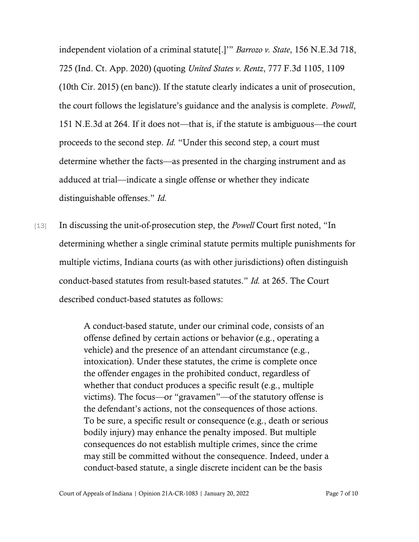independent violation of a criminal statute[.]'" *Barrozo v. State*, 156 N.E.3d 718, 725 (Ind. Ct. App. 2020) (quoting *United States v. Rentz*, 777 F.3d 1105, 1109 (10th Cir. 2015) (en banc)). If the statute clearly indicates a unit of prosecution, the court follows the legislature's guidance and the analysis is complete. *Powell*, 151 N.E.3d at 264. If it does not—that is, if the statute is ambiguous—the court proceeds to the second step. *Id.* "Under this second step, a court must determine whether the facts—as presented in the charging instrument and as adduced at trial—indicate a single offense or whether they indicate distinguishable offenses." *Id.*

[13] In discussing the unit-of-prosecution step, the *Powell* Court first noted, "In determining whether a single criminal statute permits multiple punishments for multiple victims, Indiana courts (as with other jurisdictions) often distinguish conduct-based statutes from result-based statutes." *Id.* at 265. The Court described conduct-based statutes as follows:

> A conduct-based statute, under our criminal code, consists of an offense defined by certain actions or behavior (e.g., operating a vehicle) and the presence of an attendant circumstance (e.g., intoxication). Under these statutes, the crime is complete once the offender engages in the prohibited conduct, regardless of whether that conduct produces a specific result (e.g., multiple victims). The focus—or "gravamen"—of the statutory offense is the defendant's actions, not the consequences of those actions. To be sure, a specific result or consequence (e.g., death or serious bodily injury) may enhance the penalty imposed. But multiple consequences do not establish multiple crimes, since the crime may still be committed without the consequence. Indeed, under a conduct-based statute, a single discrete incident can be the basis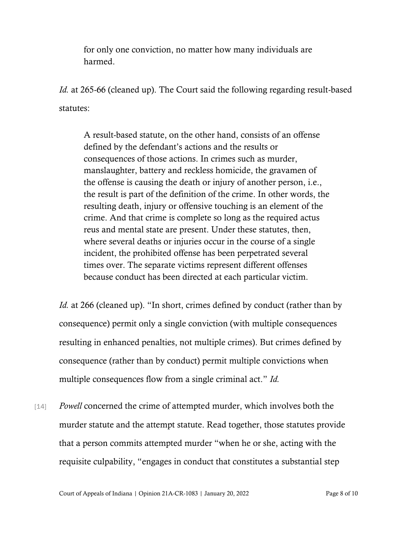for only one conviction, no matter how many individuals are harmed.

*Id.* at 265-66 (cleaned up). The Court said the following regarding result-based statutes:

A result-based statute, on the other hand, consists of an offense defined by the defendant's actions and the results or consequences of those actions. In crimes such as murder, manslaughter, battery and reckless homicide, the gravamen of the offense is causing the death or injury of another person, i.e., the result is part of the definition of the crime. In other words, the resulting death, injury or offensive touching is an element of the crime. And that crime is complete so long as the required actus reus and mental state are present. Under these statutes, then, where several deaths or injuries occur in the course of a single incident, the prohibited offense has been perpetrated several times over. The separate victims represent different offenses because conduct has been directed at each particular victim.

*Id.* at 266 (cleaned up). "In short, crimes defined by conduct (rather than by consequence) permit only a single conviction (with multiple consequences resulting in enhanced penalties, not multiple crimes). But crimes defined by consequence (rather than by conduct) permit multiple convictions when multiple consequences flow from a single criminal act." *Id.*

[14] *Powell* concerned the crime of attempted murder, which involves both the murder statute and the attempt statute. Read together, those statutes provide that a person commits attempted murder "when he or she, acting with the requisite culpability, "engages in conduct that constitutes a substantial step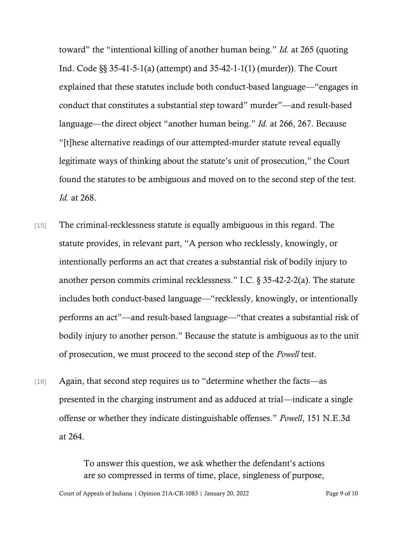toward" the "intentional killing of another human being." *Id.* at 265 (quoting Ind. Code §§ 35-41-5-1(a) (attempt) and 35-42-1-1(1) (murder)). The Court explained that these statutes include both conduct-based language—"engages in conduct that constitutes a substantial step toward" murder"—and result-based language—the direct object "another human being." *Id.* at 266, 267. Because "[t]hese alternative readings of our attempted-murder statute reveal equally legitimate ways of thinking about the statute's unit of prosecution," the Court found the statutes to be ambiguous and moved on to the second step of the test. *Id.* at 268.

- [15] The criminal-recklessness statute is equally ambiguous in this regard. The statute provides, in relevant part, "A person who recklessly, knowingly, or intentionally performs an act that creates a substantial risk of bodily injury to another person commits criminal recklessness." I.C. § 35-42-2-2(a). The statute includes both conduct-based language—"recklessly, knowingly, or intentionally performs an act"—and result-based language—"that creates a substantial risk of bodily injury to another person." Because the statute is ambiguous as to the unit of prosecution, we must proceed to the second step of the *Powell* test.
- [16] Again, that second step requires us to "determine whether the facts—as presented in the charging instrument and as adduced at trial—indicate a single offense or whether they indicate distinguishable offenses." *Powell*, 151 N.E.3d at 264.

To answer this question, we ask whether the defendant's actions are so compressed in terms of time, place, singleness of purpose,

Court of Appeals of Indiana | Opinion 21A-CR-1083 | January 20, 2022 Page 9 of 10